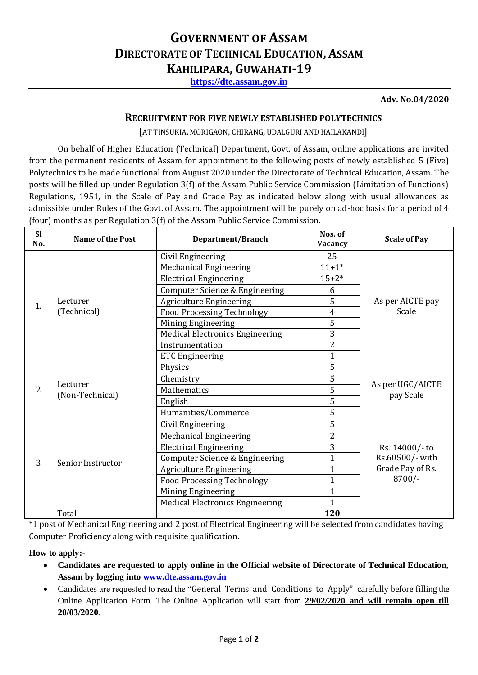# **GOVERNMENT OF ASSAM DIRECTORATE OF TECHNICAL EDUCATION, ASSAM KAHILIPARA, GUWAHATI-19**

**[https://dte.assam.gov.in](https://dte.assam.gov.in/)**

#### **Adv. No.04/2020**

#### **RECRUITMENT FOR FIVE NEWLY ESTABLISHED POLYTECHNICS**

[AT TINSUKIA, MORIGAON, CHIRANG, UDALGURI AND HAILAKANDI]

On behalf of Higher Education (Technical) Department, Govt. of Assam, online applications are invited from the permanent residents of Assam for appointment to the following posts of newly established 5 (Five) Polytechnics to be made functional from August 2020 under the Directorate of Technical Education, Assam. The posts will be filled up under Regulation 3(f) of the Assam Public Service Commission (Limitation of Functions) Regulations, 1951, in the Scale of Pay and Grade Pay as indicated below along with usual allowances as admissible under Rules of the Govt. of Assam. The appointment will be purely on ad-hoc basis for a period of 4 (four) months as per Regulation 3(f) of the Assam Public Service Commission.

| <b>SI</b><br>No. | Name of the Post            | <b>Department/Branch</b>               | Nos. of<br><b>Vacancy</b> | <b>Scale of Pay</b>                                               |
|------------------|-----------------------------|----------------------------------------|---------------------------|-------------------------------------------------------------------|
| 1.               | Lecturer<br>(Technical)     | Civil Engineering                      | 25                        | As per AICTE pay<br>Scale                                         |
|                  |                             | <b>Mechanical Engineering</b>          | $11+1*$                   |                                                                   |
|                  |                             | <b>Electrical Engineering</b>          | $15 + 2*$                 |                                                                   |
|                  |                             | Computer Science & Engineering         | 6                         |                                                                   |
|                  |                             | <b>Agriculture Engineering</b>         | 5                         |                                                                   |
|                  |                             | <b>Food Processing Technology</b>      | $\overline{4}$            |                                                                   |
|                  |                             | Mining Engineering                     | 5                         |                                                                   |
|                  |                             | <b>Medical Electronics Engineering</b> | 3                         |                                                                   |
|                  |                             | Instrumentation                        | 2                         |                                                                   |
|                  |                             | <b>ETC Engineering</b>                 | $\mathbf{1}$              |                                                                   |
| $\overline{2}$   | Lecturer<br>(Non-Technical) | Physics                                | 5                         | As per UGC/AICTE<br>pay Scale                                     |
|                  |                             | Chemistry                              | 5                         |                                                                   |
|                  |                             | Mathematics                            | 5                         |                                                                   |
|                  |                             | English                                | 5                         |                                                                   |
|                  |                             | Humanities/Commerce                    | 5                         |                                                                   |
| 3                | Senior Instructor           | Civil Engineering                      | 5                         | Rs. 14000/- to<br>Rs.60500/- with<br>Grade Pay of Rs.<br>$8700/-$ |
|                  |                             | <b>Mechanical Engineering</b>          | $\overline{2}$            |                                                                   |
|                  |                             | <b>Electrical Engineering</b>          | 3                         |                                                                   |
|                  |                             | Computer Science & Engineering         | $\mathbf{1}$              |                                                                   |
|                  |                             | <b>Agriculture Engineering</b>         | $\mathbf{1}$              |                                                                   |
|                  |                             | <b>Food Processing Technology</b>      | 1                         |                                                                   |
|                  |                             | Mining Engineering                     |                           |                                                                   |
|                  |                             | <b>Medical Electronics Engineering</b> | 1                         |                                                                   |
|                  | Total                       |                                        | 120                       |                                                                   |

\*1 post of Mechanical Engineering and 2 post of Electrical Engineering will be selected from candidates having Computer Proficiency along with requisite qualification.

### **How to apply:-**

- **Candidates are requested to apply online in the Official website of Directorate of Technical Education, Assam by logging into [www.dte.assam.gov.in](http://www.dte.assam.gov.in/)**
- Candidates are requested to read the "General Terms and Conditions to Apply" carefully before filling the Online Application Form. The Online Application will start from **29/02/2020 and will remain open till 20/03/2020**.